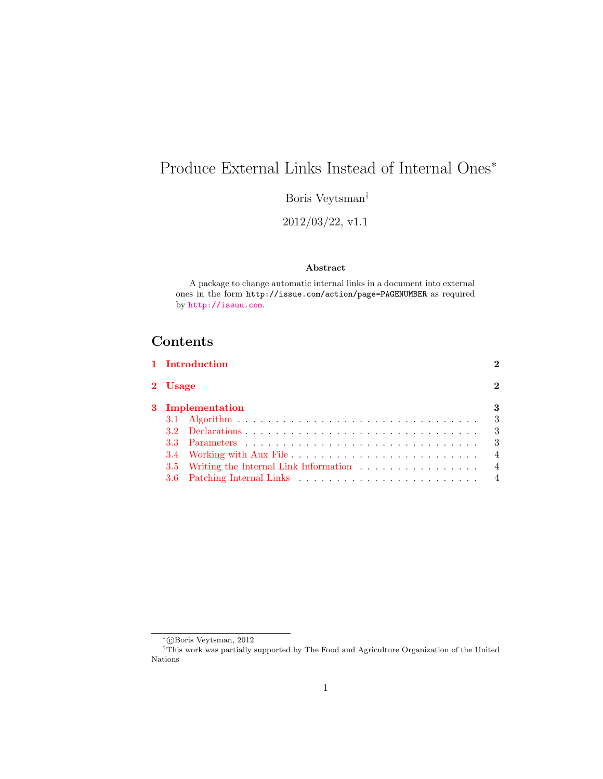# <span id="page-0-0"></span>Produce External Links Instead of Internal Ones<sup>∗</sup>

Boris Veytsman<sup>†</sup>

2012/03/22, v1.1

#### Abstract

A package to change automatic internal links in a document into external ones in the form http://issue.com/action/page=PAGENUMBER as required by <http://issuu.com>.

## Contents

|                  | 1 Introduction                            |                |
|------------------|-------------------------------------------|----------------|
| 2 Usage          |                                           | $\mathbf{2}$   |
| 3 Implementation |                                           |                |
|                  |                                           | - 3            |
|                  |                                           | $\mathbf{3}$   |
|                  |                                           | $\mathbf{3}$   |
|                  |                                           | $\overline{4}$ |
|                  | 3.5 Writing the Internal Link Information | $\overline{4}$ |
|                  |                                           |                |
|                  |                                           |                |

<sup>∗</sup> c Boris Veytsman, 2012

<sup>†</sup>This work was partially supported by The Food and Agriculture Organization of the United Nations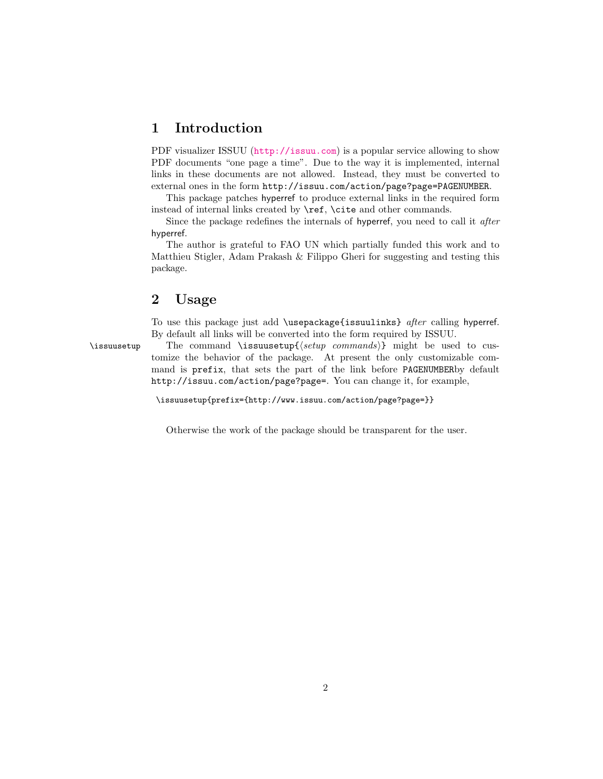### <span id="page-1-0"></span>1 Introduction

PDF visualizer ISSUU (<http://issuu.com>) is a popular service allowing to show PDF documents "one page a time". Due to the way it is implemented, internal links in these documents are not allowed. Instead, they must be converted to external ones in the form http://issuu.com/action/page?page=PAGENUMBER.

This package patches hyperref to produce external links in the required form instead of internal links created by \ref, \cite and other commands.

Since the package redefines the internals of hyperref, you need to call it after hyperref.

The author is grateful to FAO UN which partially funded this work and to Matthieu Stigler, Adam Prakash & Filippo Gheri for suggesting and testing this package.

## <span id="page-1-1"></span>2 Usage

To use this package just add \usepackage{issuulinks} after calling hyperref. By default all links will be converted into the form required by ISSUU.

\issuusetup The command \issuusetup{ $\langle setup \ commut{sh} \rangle$ } might be used to customize the behavior of the package. At present the only customizable command is prefix, that sets the part of the link before PAGENUMBERby default http://issuu.com/action/page?page=. You can change it, for example,

\issuusetup{prefix={http://www.issuu.com/action/page?page=}}

Otherwise the work of the package should be transparent for the user.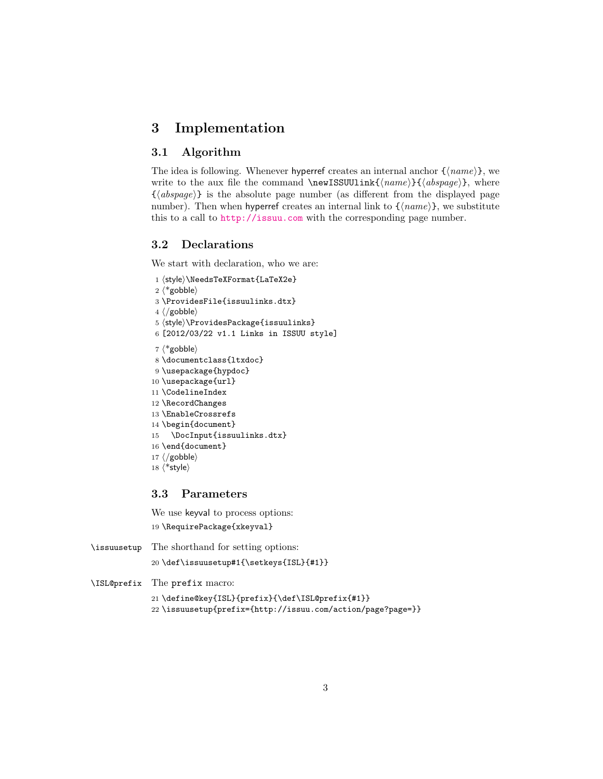## <span id="page-2-4"></span><span id="page-2-0"></span>3 Implementation

#### <span id="page-2-1"></span>3.1 Algorithm

The idea is following. Whenever hyperref creates an internal anchor  $\{\langle name \rangle\}$ , we write to the aux file the command \newISSUUlink{ $\langle name \rangle$ }{ $\langle absence \rangle$ }, where  $\{\langle abspage\rangle\}$  is the absolute page number (as different from the displayed page number). Then when hyperref creates an internal link to  $\{\langle name \rangle\}$ , we substitute this to a call to <http://issuu.com> with the corresponding page number.

#### <span id="page-2-2"></span>3.2 Declarations

We start with declaration, who we are:

```
1 \(style\\NeedsTeXFormat{LaTeX2e}
2 \langle*gobble\rangle3 \ProvidesFile{issuulinks.dtx}
4 \langle /gobble\rangle5 (style)\ProvidesPackage{issuulinks}
6 [2012/03/22 v1.1 Links in ISSUU style]
7 * gobble)
8 \documentclass{ltxdoc}
9 \usepackage{hypdoc}
10 \usepackage{url}
11 \CodelineIndex
12 \RecordChanges
13 \EnableCrossrefs
14 \begin{document}
15 \DocInput{issuulinks.dtx}
16 \end{document}
17 \; \langle /gobble)
18 \langle*style\rangle
```
#### <span id="page-2-3"></span>3.3 Parameters

We use keyval to process options: 19 \RequirePackage{xkeyval}

\issuusetup The shorthand for setting options:

```
20 \def\issuusetup#1{\setkeys{ISL}{#1}}
```
\ISL@prefix The prefix macro:

21 \define@key{ISL}{prefix}{\def\ISL@prefix{#1}}

22 \issuusetup{prefix={http://issuu.com/action/page?page=}}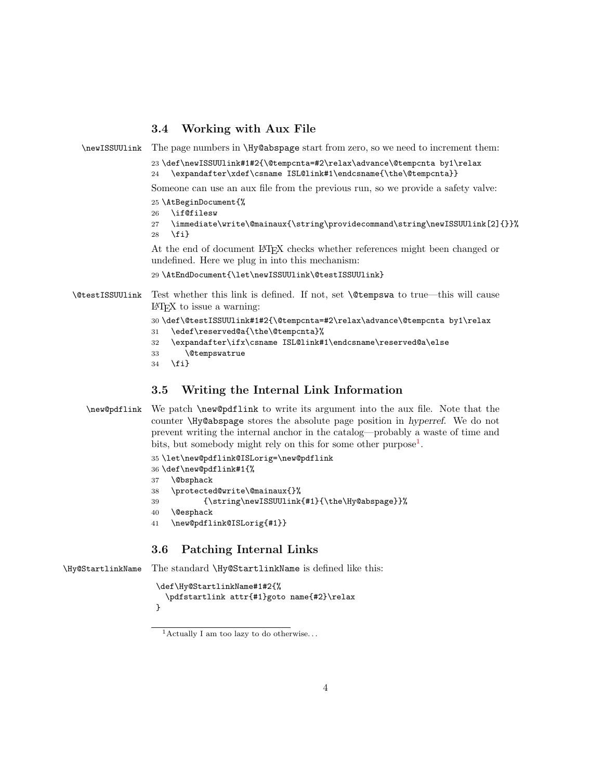#### <span id="page-3-4"></span><span id="page-3-0"></span>3.4 Working with Aux File

\newISSUUlink The page numbers in \Hy@abspage start from zero, so we need to increment them:

23 \def\newISSUUlink#1#2{\@tempcnta=#2\relax\advance\@tempcnta by1\relax 24 \expandafter\xdef\csname ISL@link#1\endcsname{\the\@tempcnta}}

Someone can use an aux file from the previous run, so we provide a safety valve:

25 \AtBeginDocument{%

26 \if@filesw

27 \immediate\write\@mainaux{\string\providecommand\string\newISSUUlink[2]{}}% 28 \fi}

At the end of document LATEX checks whether references might been changed or undefined. Here we plug in into this mechanism:

```
29 \AtEndDocument{\let\newISSUUlink\@testISSUUlink}
```
\@testISSUUlink Test whether this link is defined. If not, set \@tempswa to true—this will cause LATEX to issue a warning:

```
30 \def\@testISSUUlink#1#2{\@tempcnta=#2\relax\advance\@tempcnta by1\relax
31 \edef\reserved@a{\the\@tempcnta}%
32 \expandafter\ifx\csname ISL@link#1\endcsname\reserved@a\else
33 \@tempswatrue
```

```
34 \fi}
```
#### <span id="page-3-1"></span>3.5 Writing the Internal Link Information

```
\new@pdflink We patch \new@pdflink to write its argument into the aux file. Note that the
           counter \Hy@abspage stores the absolute page position in hyperref. We do not
           prevent writing the internal anchor in the catalog—probably a waste of time and
            1</sup>.
```

```
35 \let\new@pdflink@ISLorig=\new@pdflink
36 \def\new@pdflink#1{%
37 \@bsphack
38 \protected@write\@mainaux{}%
39 {\string\newISSUUlink{#1}{\the\Hy@abspage}}%
40 \@esphack
41 \new@pdflink@ISLorig{#1}}
```
#### <span id="page-3-2"></span>3.6 Patching Internal Links

\Hy@StartlinkName The standard \Hy@StartlinkName is defined like this:

```
\def\Hy@StartlinkName#1#2{%
  \pdfstartlink attr{#1}goto name{#2}\relax
}
```
<span id="page-3-3"></span><sup>&</sup>lt;sup>1</sup> Actually I am too lazy to do otherwise...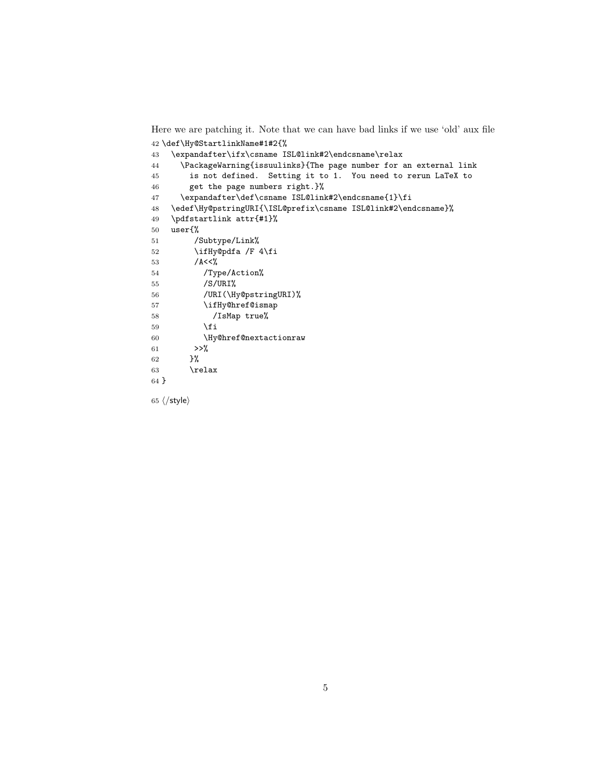Here we are patching it. Note that we can have bad links if we use 'old' aux file \def\Hy@StartlinkName#1#2{%

```
43 \expandafter\ifx\csname ISL@link#2\endcsname\relax
44 \PackageWarning{issuulinks}{The page number for an external link
45 is not defined. Setting it to 1. You need to rerun LaTeX to
46 get the page numbers right.}%
47 \expandafter\def\csname ISL@link#2\endcsname{1}\fi
48 \edef\Hy@pstringURI{\ISL@prefix\csname ISL@link#2\endcsname}%
49 \pdfstartlink attr{#1}%
50 user{%
51 /Subtype/Link%
52 \ifHy@pdfa /F 4\fi
53 /A<<%
54 /Type/Action%
55 /S/URI%
56 /URI(\Hy@pstringURI)%
57 \ifHy@href@ismap
58 /IsMap true%
59 \qquad \qquad \text{ifi}60 \Hy@href@nextactionraw
61 >>\%62 }%
63 \relax
64 }
```
65  $\langle$ /style $\rangle$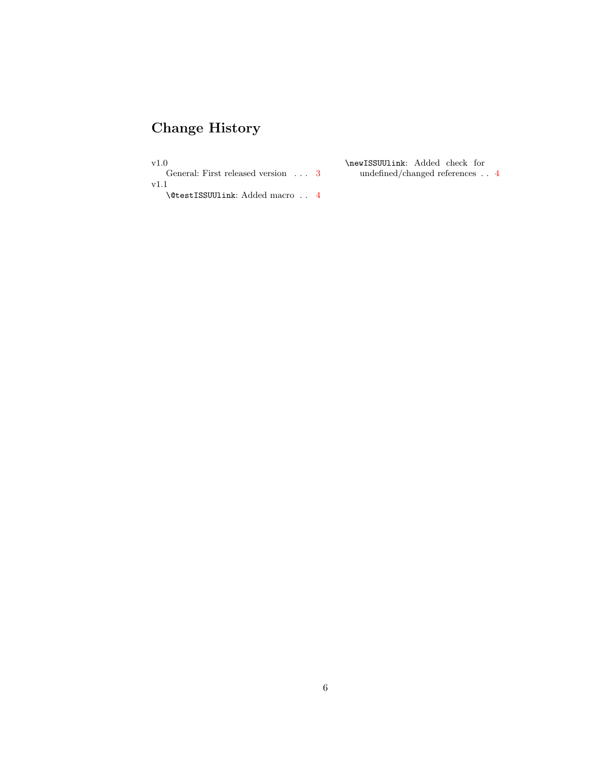# Change History

 $_{\rm v1.0}$ 

General: First released version  $\ldots$  [3](#page-2-4) v1.1

\newISSUUlink: Added check for undefined/changed references . . [4](#page-3-4)

\@testISSUUlink: Added macro . . [4](#page-3-4)